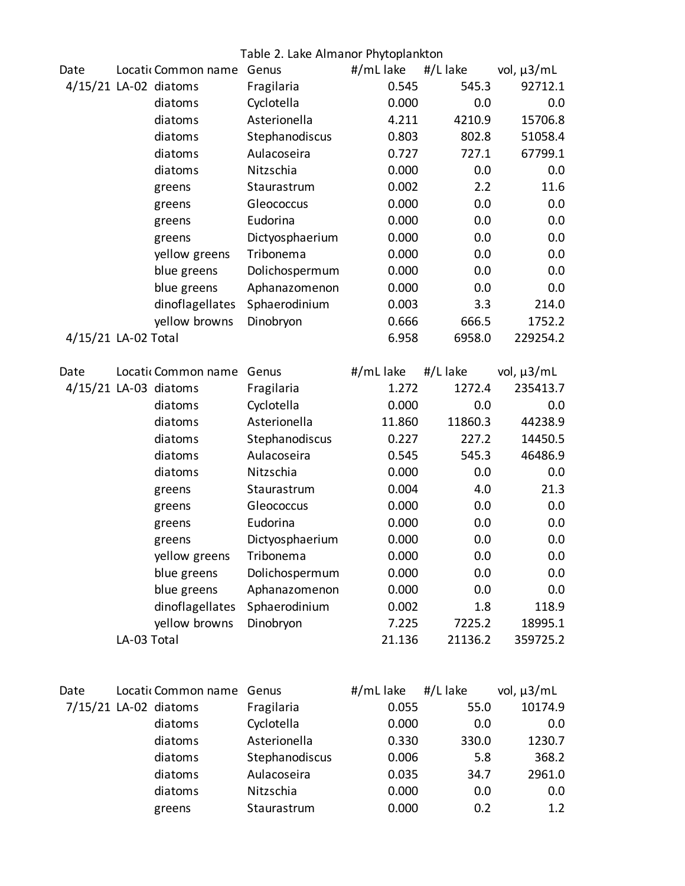|                       | Table 2. Lake Almanor Phytoplankton |                       |                 |           |          |                 |
|-----------------------|-------------------------------------|-----------------------|-----------------|-----------|----------|-----------------|
| Date                  |                                     | Locati Common name    | Genus           | #/mL lake | #/L lake | vol, $\mu$ 3/mL |
| 4/15/21 LA-02 diatoms |                                     |                       | Fragilaria      | 0.545     | 545.3    | 92712.1         |
|                       |                                     | diatoms               | Cyclotella      | 0.000     | 0.0      | 0.0             |
|                       |                                     | diatoms               | Asterionella    | 4.211     | 4210.9   | 15706.8         |
|                       |                                     | diatoms               | Stephanodiscus  | 0.803     | 802.8    | 51058.4         |
|                       |                                     | diatoms               | Aulacoseira     | 0.727     | 727.1    | 67799.1         |
|                       |                                     | diatoms               | Nitzschia       | 0.000     | 0.0      | 0.0             |
|                       |                                     | greens                | Staurastrum     | 0.002     | 2.2      | 11.6            |
|                       |                                     | greens                | Gleococcus      | 0.000     | 0.0      | 0.0             |
|                       |                                     | greens                | Eudorina        | 0.000     | 0.0      | 0.0             |
|                       |                                     | greens                | Dictyosphaerium | 0.000     | 0.0      | 0.0             |
|                       |                                     | yellow greens         | Tribonema       | 0.000     | 0.0      | 0.0             |
|                       |                                     | blue greens           | Dolichospermum  | 0.000     | 0.0      | 0.0             |
|                       |                                     | blue greens           | Aphanazomenon   | 0.000     | 0.0      | 0.0             |
|                       |                                     | dinoflagellates       | Sphaerodinium   | 0.003     | 3.3      | 214.0           |
|                       |                                     | yellow browns         | Dinobryon       | 0.666     | 666.5    | 1752.2          |
| 4/15/21 LA-02 Total   |                                     |                       |                 | 6.958     | 6958.0   | 229254.2        |
| Date                  |                                     | Locati Common name    | Genus           | #/mL lake | #/L lake | vol, $\mu$ 3/mL |
| 4/15/21 LA-03 diatoms |                                     |                       | Fragilaria      | 1.272     | 1272.4   | 235413.7        |
|                       |                                     | diatoms               | Cyclotella      | 0.000     | 0.0      | 0.0             |
|                       |                                     | diatoms               | Asterionella    | 11.860    | 11860.3  | 44238.9         |
|                       |                                     | diatoms               | Stephanodiscus  | 0.227     | 227.2    | 14450.5         |
|                       |                                     | diatoms               | Aulacoseira     | 0.545     | 545.3    | 46486.9         |
|                       |                                     | diatoms               | Nitzschia       | 0.000     | 0.0      | 0.0             |
|                       |                                     | greens                | Staurastrum     | 0.004     | 4.0      | 21.3            |
|                       |                                     | greens                | Gleococcus      | 0.000     | 0.0      | 0.0             |
|                       |                                     | greens                | Eudorina        | 0.000     | 0.0      | 0.0             |
|                       |                                     | greens                | Dictyosphaerium | 0.000     | 0.0      | 0.0             |
|                       |                                     | yellow greens         | Tribonema       | 0.000     | 0.0      | 0.0             |
|                       |                                     | blue greens           | Dolichospermum  | 0.000     | 0.0      | 0.0             |
|                       |                                     | blue greens           | Aphanazomenon   | 0.000     | 0.0      | 0.0             |
|                       |                                     | dinoflagellates       | Sphaerodinium   | 0.002     | 1.8      | 118.9           |
|                       |                                     | yellow browns         | Dinobryon       | 7.225     | 7225.2   | 18995.1         |
|                       | LA-03 Total                         |                       |                 | 21.136    | 21136.2  | 359725.2        |
|                       |                                     |                       |                 |           |          |                 |
| Date                  |                                     | Locati Common name    | Genus           | #/mL lake | #/L lake | vol, $\mu$ 3/mL |
|                       |                                     | 7/15/21 LA-02 diatoms | Fragilaria      | 0.055     | 55.0     | 10174.9         |
|                       |                                     | diatoms               | Cyclotella      | 0.000     | 0.0      | 0.0             |
|                       |                                     | diatoms               | Asterionella    | 0.330     | 330.0    | 1230.7          |
|                       |                                     | diatoms               | Stephanodiscus  | 0.006     | 5.8      | 368.2           |
|                       |                                     | diatoms               | Aulacoseira     | 0.035     | 34.7     | 2961.0          |
|                       |                                     | diatoms               | Nitzschia       | 0.000     | 0.0      | 0.0             |
|                       |                                     | greens                | Staurastrum     | 0.000     | 0.2      | 1.2             |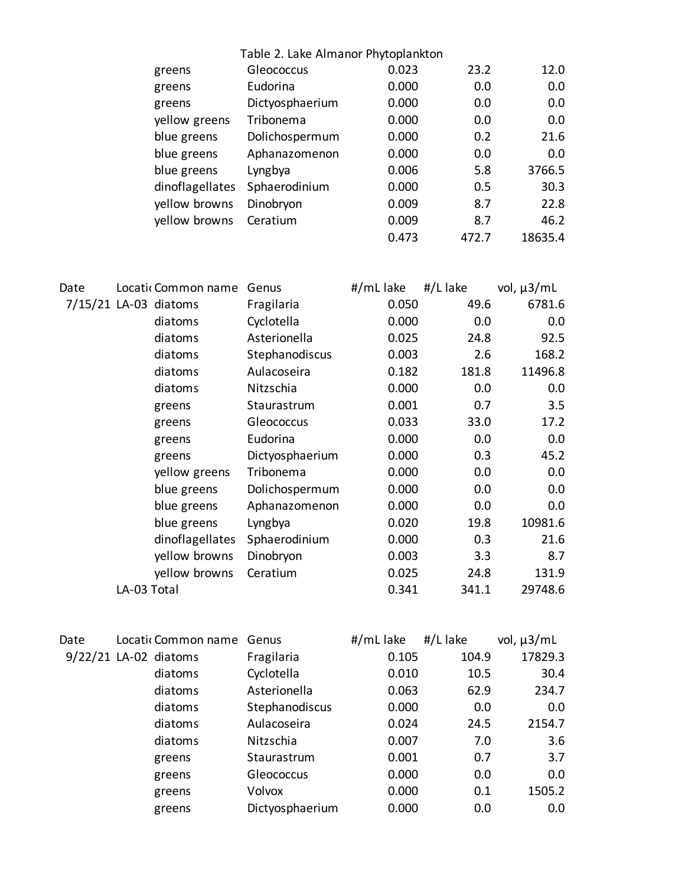|      | Table 2. Lake Almanor Phytoplankton |                       |                 |           |          |                 |
|------|-------------------------------------|-----------------------|-----------------|-----------|----------|-----------------|
|      |                                     | greens                | Gleococcus      | 0.023     | 23.2     | 12.0            |
|      |                                     | greens                | Eudorina        | 0.000     | 0.0      | 0.0             |
|      |                                     | greens                | Dictyosphaerium | 0.000     | 0.0      | 0.0             |
|      |                                     | yellow greens         | Tribonema       | 0.000     | 0.0      | 0.0             |
|      |                                     | blue greens           | Dolichospermum  | 0.000     | 0.2      | 21.6            |
|      |                                     | blue greens           | Aphanazomenon   | 0.000     | 0.0      | 0.0             |
|      |                                     | blue greens           | Lyngbya         | 0.006     | 5.8      | 3766.5          |
|      |                                     | dinoflagellates       | Sphaerodinium   | 0.000     | 0.5      | 30.3            |
|      |                                     | yellow browns         | Dinobryon       | 0.009     | 8.7      | 22.8            |
|      |                                     | yellow browns         | Ceratium        | 0.009     | 8.7      | 46.2            |
|      |                                     |                       |                 | 0.473     | 472.7    | 18635.4         |
|      |                                     |                       |                 |           |          |                 |
| Date |                                     | Locati Common name    | Genus           | #/mL lake | #/L lake | vol, µ3/mL      |
|      |                                     | 7/15/21 LA-03 diatoms | Fragilaria      | 0.050     | 49.6     | 6781.6          |
|      |                                     | diatoms               | Cyclotella      | 0.000     | 0.0      | 0.0             |
|      |                                     | diatoms               | Asterionella    | 0.025     | 24.8     | 92.5            |
|      |                                     | diatoms               | Stephanodiscus  | 0.003     | 2.6      | 168.2           |
|      |                                     | diatoms               | Aulacoseira     | 0.182     | 181.8    | 11496.8         |
|      |                                     | diatoms               | Nitzschia       | 0.000     | 0.0      | 0.0             |
|      |                                     | greens                | Staurastrum     | 0.001     | 0.7      | 3.5             |
|      |                                     | greens                | Gleococcus      | 0.033     | 33.0     | 17.2            |
|      |                                     | greens                | Eudorina        | 0.000     | 0.0      | 0.0             |
|      |                                     | greens                | Dictyosphaerium | 0.000     | 0.3      | 45.2            |
|      |                                     | yellow greens         | Tribonema       | 0.000     | 0.0      | 0.0             |
|      |                                     | blue greens           | Dolichospermum  | 0.000     | 0.0      | 0.0             |
|      |                                     | blue greens           | Aphanazomenon   | 0.000     | 0.0      | 0.0             |
|      |                                     | blue greens           | Lyngbya         | 0.020     | 19.8     | 10981.6         |
|      |                                     | dinoflagellates       | Sphaerodinium   | 0.000     | 0.3      | 21.6            |
|      |                                     | yellow browns         | Dinobryon       | 0.003     | 3.3      | 8.7             |
|      |                                     | yellow browns         | Ceratium        | 0.025     | 24.8     | 131.9           |
|      | LA-03 Total                         |                       |                 | 0.341     | 341.1    | 29748.6         |
| Date |                                     | Locati Common name    | Genus           | #/mL lake | #/L lake | vol, $\mu$ 3/mL |
|      |                                     |                       |                 |           |          |                 |

| <b>DU LL</b> | LUCULI CUTTITIUTI HUITIC QUITUS |                 | $\pi$ / $\cdots$ $\cdots$ | $\pi$ / L $\mu$ NC | VUI, HJIIII |
|--------------|---------------------------------|-----------------|---------------------------|--------------------|-------------|
|              | 9/22/21 LA-02 diatoms           | Fragilaria      | 0.105                     | 104.9              | 17829.3     |
|              | diatoms                         | Cyclotella      | 0.010                     | 10.5               | 30.4        |
|              | diatoms                         | Asterionella    | 0.063                     | 62.9               | 234.7       |
|              | diatoms                         | Stephanodiscus  | 0.000                     | 0.0                | 0.0         |
|              | diatoms                         | Aulacoseira     | 0.024                     | 24.5               | 2154.7      |
|              | diatoms                         | Nitzschia       | 0.007                     | 7.0                | 3.6         |
|              | greens                          | Staurastrum     | 0.001                     | 0.7                | 3.7         |
|              | greens                          | Gleococcus      | 0.000                     | 0.0                | 0.0         |
|              | greens                          | Volvox          | 0.000                     | 0.1                | 1505.2      |
|              | greens                          | Dictyosphaerium | 0.000                     | 0.0                | 0.0         |
|              |                                 |                 |                           |                    |             |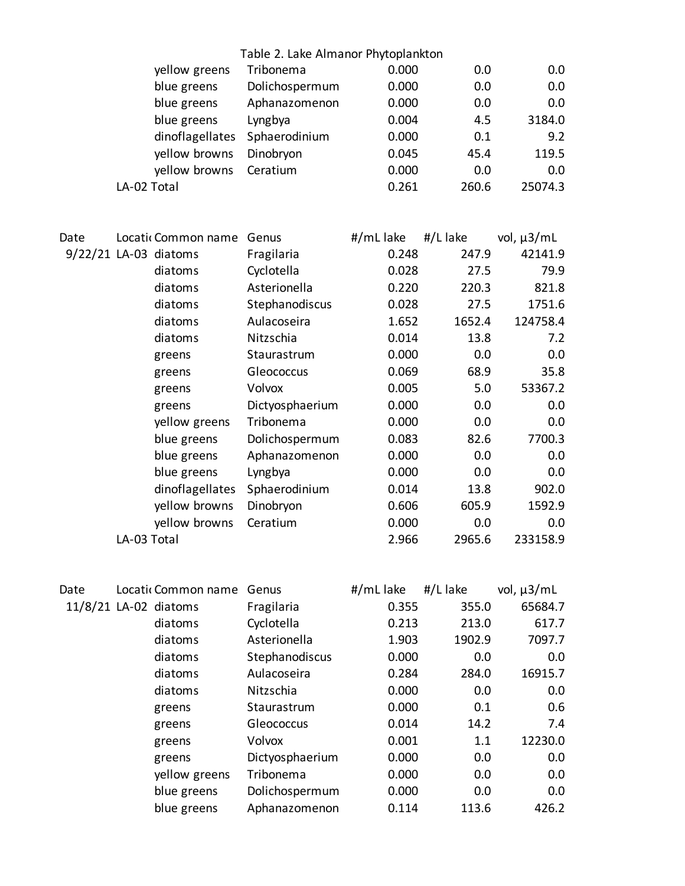|                       |             |                       | Table 2. Lake Almanor Phytoplankton |           |          |                 |
|-----------------------|-------------|-----------------------|-------------------------------------|-----------|----------|-----------------|
|                       |             | yellow greens         | Tribonema                           | 0.000     | 0.0      | 0.0             |
|                       |             | blue greens           | Dolichospermum                      | 0.000     | 0.0      | 0.0             |
|                       |             | blue greens           | Aphanazomenon                       | 0.000     | 0.0      | 0.0             |
|                       |             | blue greens           | Lyngbya                             | 0.004     | 4.5      | 3184.0          |
|                       |             | dinoflagellates       | Sphaerodinium                       | 0.000     | 0.1      | 9.2             |
|                       |             | yellow browns         | Dinobryon                           | 0.045     | 45.4     | 119.5           |
|                       |             | yellow browns         | Ceratium                            | 0.000     | 0.0      | 0.0             |
|                       | LA-02 Total |                       |                                     | 0.261     | 260.6    | 25074.3         |
|                       |             |                       |                                     |           |          |                 |
| Date                  |             | Locati Common name    | Genus                               | #/mL lake | #/L lake | vol, $\mu$ 3/mL |
| 9/22/21 LA-03 diatoms |             |                       | Fragilaria                          | 0.248     | 247.9    | 42141.9         |
|                       |             | diatoms               | Cyclotella                          | 0.028     | 27.5     | 79.9            |
|                       |             | diatoms               | Asterionella                        | 0.220     | 220.3    | 821.8           |
|                       |             | diatoms               | Stephanodiscus                      | 0.028     | 27.5     | 1751.6          |
|                       |             | diatoms               | Aulacoseira                         | 1.652     | 1652.4   | 124758.4        |
|                       |             | diatoms               | Nitzschia                           | 0.014     | 13.8     | 7.2             |
|                       |             | greens                | Staurastrum                         | 0.000     | 0.0      | 0.0             |
|                       |             | greens                | Gleococcus                          | 0.069     | 68.9     | 35.8            |
|                       |             | greens                | Volvox                              | 0.005     | 5.0      | 53367.2         |
|                       |             | greens                | Dictyosphaerium                     | 0.000     | 0.0      | 0.0             |
|                       |             | yellow greens         | Tribonema                           | 0.000     | 0.0      | 0.0             |
|                       |             | blue greens           | Dolichospermum                      | 0.083     | 82.6     | 7700.3          |
|                       |             | blue greens           | Aphanazomenon                       | 0.000     | 0.0      | 0.0             |
|                       |             | blue greens           | Lyngbya                             | 0.000     | 0.0      | 0.0             |
|                       |             | dinoflagellates       | Sphaerodinium                       | 0.014     | 13.8     | 902.0           |
|                       |             | yellow browns         | Dinobryon                           | 0.606     | 605.9    | 1592.9          |
|                       |             | yellow browns         | Ceratium                            | 0.000     | 0.0      | 0.0             |
|                       | LA-03 Total |                       |                                     | 2.966     | 2965.6   | 233158.9        |
| Date                  |             | Locatic Common name   | Genus                               | #/mL lake | #/L lake | vol, $\mu$ 3/mL |
|                       |             | 11/8/21 LA-02 diatoms | Fragilaria                          | 0.355     | 355.0    | 65684.7         |
|                       |             | diatoms               | Cyclotella                          | 0.213     | 213.0    | 617.7           |
|                       |             | diatoms               | Asterionella                        | 1.903     | 1902.9   | 7097.7          |
|                       |             | diatoms               | Stephanodiscus                      | 0.000     | 0.0      | 0.0             |
|                       |             | diatoms               | Aulacoseira                         | 0.284     | 284.0    | 16915.7         |
|                       |             | diatoms               | Nitzschia                           | 0.000     | 0.0      | 0.0             |
|                       |             | greens                | Staurastrum                         | 0.000     | 0.1      | 0.6             |
|                       |             | greens                | Gleococcus                          | 0.014     | 14.2     | 7.4             |
|                       |             | greens                | Volvox                              | 0.001     | 1.1      | 12230.0         |
|                       |             | greens                | Dictyosphaerium                     | 0.000     | 0.0      | 0.0             |
|                       |             | yellow greens         | Tribonema                           | 0.000     | 0.0      | 0.0             |
|                       |             | blue greens           | Dolichospermum                      | 0.000     | 0.0      | 0.0             |
|                       |             | blue greens           | Aphanazomenon                       | 0.114     | 113.6    | 426.2           |